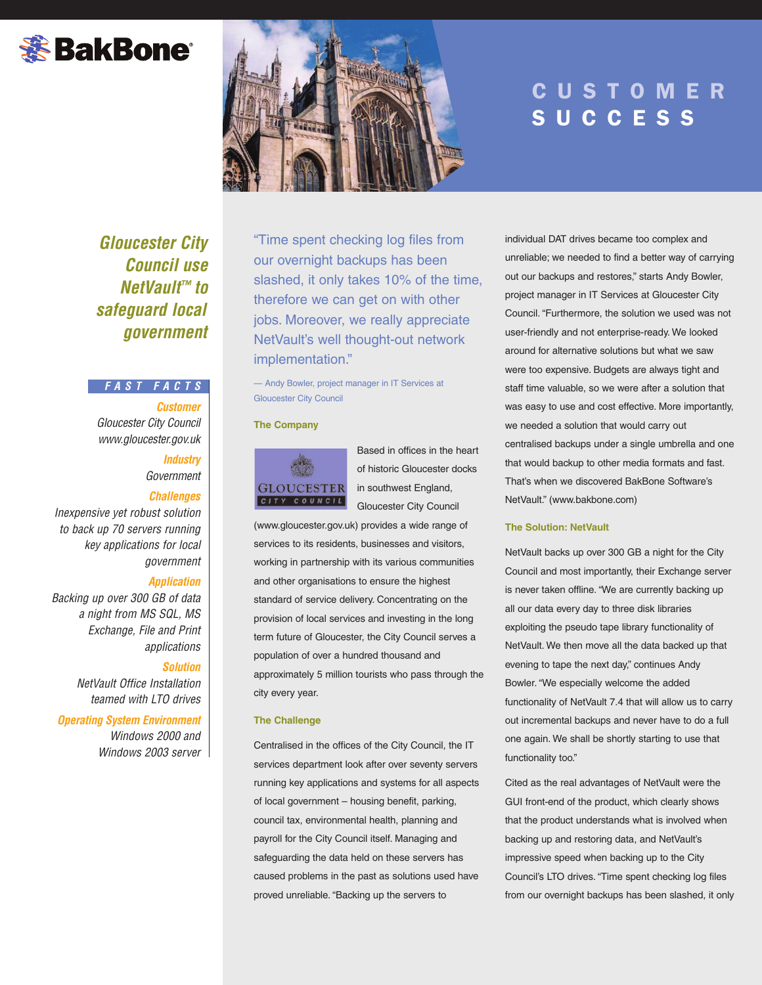# **※BakBone**®



# **CUSTOMER SUCCESS**

*Gloucester City Council use NetVault™ to safeguard local government*

# *FAST FACTS*

*Customer Gloucester City Council www.gloucester.gov.uk*

*Industry*

*Government*

# *Challenges*

*Inexpensive yet robust solution to back up 70 servers running key applications for local government*

# *Application*

*Backing up over 300 GB of data a night from MS SQL, MS Exchange, File and Print applications*

#### *Solution*

*NetVault Office Installation teamed with LTO drives*

*Operating System Environment Windows 2000 and Windows 2003 server* "Time spent checking log files from our overnight backups has been slashed, it only takes 10% of the time, therefore we can get on with other jobs. Moreover, we really appreciate NetVault's well thought-out network implementation."

— Andy Bowler, project manager in IT Services at Gloucester City Council

#### **The Company**



Based in offices in the heart of historic Gloucester docks in southwest England, Gloucester City Council

(www.gloucester.gov.uk) provides a wide range of services to its residents, businesses and visitors, working in partnership with its various communities and other organisations to ensure the highest standard of service delivery. Concentrating on the provision of local services and investing in the long term future of Gloucester, the City Council serves a population of over a hundred thousand and approximately 5 million tourists who pass through the city every year.

#### **The Challenge**

Centralised in the offices of the City Council, the IT services department look after over seventy servers running key applications and systems for all aspects of local government – housing benefit, parking, council tax, environmental health, planning and payroll for the City Council itself. Managing and safeguarding the data held on these servers has caused problems in the past as solutions used have proved unreliable. "Backing up the servers to

individual DAT drives became too complex and unreliable; we needed to find a better way of carrying out our backups and restores," starts Andy Bowler, project manager in IT Services at Gloucester City Council. "Furthermore, the solution we used was not user-friendly and not enterprise-ready. We looked around for alternative solutions but what we saw were too expensive. Budgets are always tight and staff time valuable, so we were after a solution that was easy to use and cost effective. More importantly, we needed a solution that would carry out centralised backups under a single umbrella and one that would backup to other media formats and fast. That's when we discovered BakBone Software's NetVault." (www.bakbone.com)

### **The Solution: NetVault**

NetVault backs up over 300 GB a night for the City Council and most importantly, their Exchange server is never taken offline. "We are currently backing up all our data every day to three disk libraries exploiting the pseudo tape library functionality of NetVault. We then move all the data backed up that evening to tape the next day," continues Andy Bowler. "We especially welcome the added functionality of NetVault 7.4 that will allow us to carry out incremental backups and never have to do a full one again. We shall be shortly starting to use that functionality too."

Cited as the real advantages of NetVault were the GUI front-end of the product, which clearly shows that the product understands what is involved when backing up and restoring data, and NetVault's impressive speed when backing up to the City Council's LTO drives. "Time spent checking log files from our overnight backups has been slashed, it only